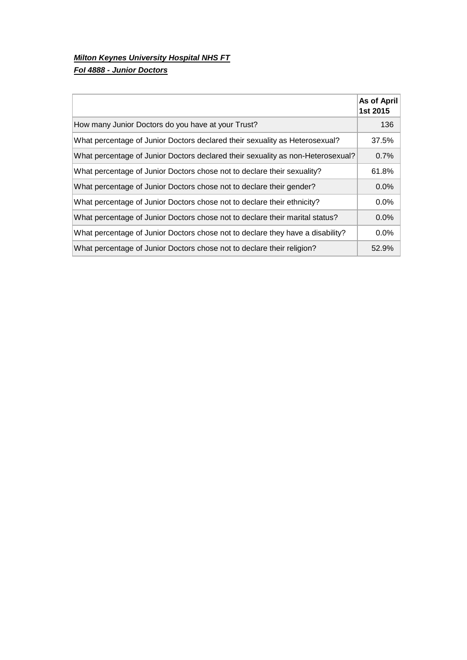## *Milton Keynes University Hospital NHS FT*

*FoI 4888 - Junior Doctors*

|                                                                                 | As of April<br>1st 2015 |
|---------------------------------------------------------------------------------|-------------------------|
| How many Junior Doctors do you have at your Trust?                              | 136                     |
| What percentage of Junior Doctors declared their sexuality as Heterosexual?     | 37.5%                   |
| What percentage of Junior Doctors declared their sexuality as non-Heterosexual? | $0.7\%$                 |
| What percentage of Junior Doctors chose not to declare their sexuality?         | 61.8%                   |
| What percentage of Junior Doctors chose not to declare their gender?            | $0.0\%$                 |
| What percentage of Junior Doctors chose not to declare their ethnicity?         | $0.0\%$                 |
| What percentage of Junior Doctors chose not to declare their marital status?    | $0.0\%$                 |
| What percentage of Junior Doctors chose not to declare they have a disability?  | 0.0%                    |
| What percentage of Junior Doctors chose not to declare their religion?          | 52.9%                   |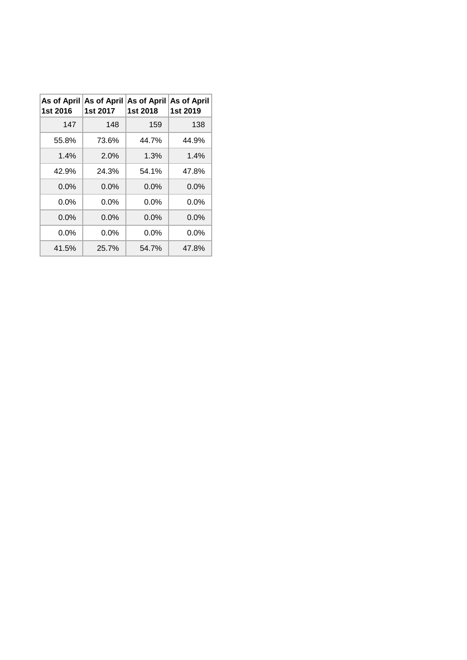| <b>As of April</b><br>1st 2016 | As of April<br>1st 2017 | As of April<br>1st 2018 | <b>As of April</b><br>1st 2019 |
|--------------------------------|-------------------------|-------------------------|--------------------------------|
| 147                            | 148                     | 159                     | 138                            |
| 55.8%                          | 73.6%                   | 44.7%                   | 44.9%                          |
| 1.4%                           | 2.0%                    | 1.3%                    | 1.4%                           |
| 42.9%                          | 24.3%                   | 54.1%                   | 47.8%                          |
| $0.0\%$                        | $0.0\%$                 | $0.0\%$                 | $0.0\%$                        |
| $0.0\%$                        | $0.0\%$                 | $0.0\%$                 | $0.0\%$                        |
| 0.0%                           | $0.0\%$                 | 0.0%                    | 0.0%                           |
| $0.0\%$                        | $0.0\%$                 | $0.0\%$                 | $0.0\%$                        |
| 41.5%                          | 25.7%                   | 54.7%                   | 47.8%                          |